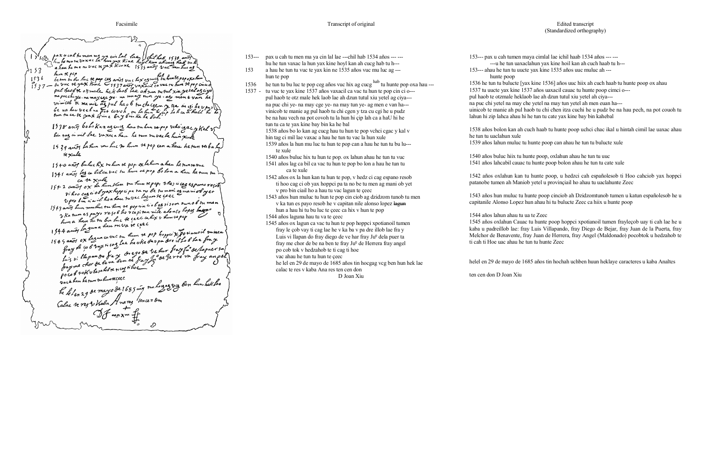1) 18 pax u cah tumen ma ya cin fal fae (filml hab 153<br>hu he tun tu vax ac la hun yax Kine ho'y l kan ah cueg<br>3, 52 a hau he me tu vuc re yax Kin xe 1535 and 5 vuc m  $5152$ hun R pop 1536 hem te pep<br>1536 hem in du luc se pap ces avoirs vuc hex as cues tu hun te poporahun pul hastre of male het last lae ah zur moul xin yetel agay put nast R otsmall he k taob lae ah sun tutul xiu yell azaya<br>na puchi ya na may ize ya ma mnay tun ye . aly men e van ha<br>vim cob k ma nie az pul ha o b tu che czen z tza in ci he v pus \\\<br>be na ku vech na pot tovoh u la h 1938 anof bo ho Kan ag cuig hau ruhun ra pop voka igac y Kal vi 1539 avrides La hum mu Luc su hum te pop can a have he tun ree ba Ly  $\frac{1}{2}$ <br> $\frac{1}{2}$ 1940 anos buhec hix ruhen se pop. ox lahum a hau he run rubuc<br>1941 anos las ca bilca vac tu hum re pop bo lon a hau he run su 1741 anos et a xule<br>1642 anos ox la hun Nan su hun repop, tohes a cas espans resible Hi hoo cas a ob yax hopp a pa ra no be tumen as mam ob yet<br>Upro bin a a il hoa hau tu vac lagun se ceec<br>1943 anos hun mutuc tu hun re pop an a ob og gi som tum ob tu man<br>Wha tum a spayo re go b he v cap tan nike alon so lo hun a hau men deu re va re cec de la popuix Forianoil sument<br>1944 anos ox lagun a hau re va re cec de hoppi x Forianoil sument<br>1949 anos ox lagun cavac su hun se pop hoppi x Forianoil summer<br>frag de co b vax i cos la ha uk

- 153--- pax u cah tu men ma ya cin lal lae ---chil hab 1534 años --- -- hu he tun vaxac la hun yax kine hoyl kan ah cucg hab tu h--- 153 a hau he tun tu vuc te yax kin ne 1535 años vuc mu luc ag ---
- hun te pop
- 1536 he tun tu bu luc te pop ceg años vuc hix ag cucg  $\frac{hab}{ab}$  tu hunte pop oxa hau ---
- 1537 tu vuc te yax kine 1537 años vaxacil ca vac tu hun te pop cin ci o-- pul haob te otz male hek laob lae ah dzun tutul xiu yetel ag ciya-- na puc chi ye- na may cge ye- na may tun ye- ag men e van ha-- vinicob te manie ag pul haob tu chi cgen y tza cu cgi he u pudz be na hau vech na pot covoh tu la hun hi çip lah ca a haU hi he tun tu ca te yax kine bay bin ka he bal 1538 años bo lo kan ag cucg hau tu hun te pop vchci cgac y kal v

1545 años ox lagun ca vac tu hun te pop hoppci xpotianoil tumen fray le çob vay ti cag lae he v ka ba v pa dre illob lae fra y Luis vi llapan do fray diego de ve har fray  $Ju^{\circ}$  dela puer ta fray me chor de be na ben te fray Ju<sup>o</sup> de Herrera fray angel

hin tag ci mil lae vaxac a hau he tun tu vac la hun xule

1539 años la hun mu luc tu hun te pop can a hau he tun tu bu lu-- te xule

1540 años buluc hix tu hun te pop. ox lahun ahau he tun tu vuc

- 1541 años lag ca bil ca vac tu hun te pop bo lon a hau he tun tu ca te xule
- 1542 años ox la hun kan tu hun te pop, v hedz ci cag espano resob ti hoo cag ci ob yax hoppci pa ta no be tu men ag mani ob yet v pro bin ciail ho a hau tu vac lagun te çeec

1543 años hun muluc tu hun te pop cin ciob ag dzidzom tunob tu men v ka tun es payo resob he v capitan nile alonso lopez lagun hun a hau hi tu bu luc te çeec ca hix v hun te pop

1544 años laguna hau tu va te çeec

po cob tok v hedzahob te ti cag ti hoe vac ahau he tun tu hun te çeec

he lel en 29 de mayo de 1685 años tin hocgag vcg ben hun hek lae calac te res v kaba Ana res ten cen don

D Joan Xiu

## Edited transcript (Standardized orthography)

153--- pax u cah tumen maya cimlal lae ichil haab 1534 años --- --- ---u he tun uaxaclahun yax kine hoil kan ah cuch haab tu h--- 153--- ahau he tun tu uucte yax kine 1535 años uuc muluc ah ---

hunte poop

1536 he tun tu bulucte [yax kine 1536] años uuc hiix ah cuch haab tu hunte poop ox ahau 1537 tu uucte yax kine 1537 años uaxacil cauac tu hunte poop cimci o-- pul haob te otzmale heklaob lae ah dzun tutul xiu yetel ah ciya-- na puc chi yetel na may che yetel na may tun yetel ah men euan ha-- uinicob te manie ah pul haob tu chi c ħen itza cuchi he u pudz be na hau pech, na pot couoh tu lahun hi zip lahca ahau hi he tun tu cate yax kine bay bin kahebal

1538 años bolon kan ah cuch haab tu hunte poop uchci chac ikal u hintah cimil lae uaxac ahau he tun tu uaclahun xule 1539 años lahun muluc tu hunte poop can ahau he tun tu bulucte xule

1540 años buluc hiix tu hunte poop, oxlahun ahau he tun tu uuc 1541 años lahcabil cauac tu hunte poop bolon ahau he tun tu cate xule

1542 años oxlahun kan tu hunte poop, u hedzci cah españolesob ti Hoo cahciob yax hoppci patanobe tumen ah Maniob yetel u provinçiail ho ahau tu uaclahunte Zeec

1543 años hun muluc tu hunte poop cinciob ah Dzidzomtunob tumen u katun españolesob he u capitanile Alonso Lopez hun ahau hi tu bulucte Zeec ca hiix u hunte poop

1544 años lahun ahau tu ua te Zeec

1545 años oxlahun Cauac tu hunte poop hoppci xpotianoil tumen frayleçob uay ti cah lae he u kaba u padreillob lae: fray Luis Villapando, fray Diego de Bejar, fray Juan de la Puerta, fray Melchor de Benavente, fray Juan de Herrera, fray Angel (Maldonado) pocobtok u hedzahob te ti cah ti Hoe uac ahau he tun tu hunte Zeec

helel en 29 de mayo de 1685 años tin hochah uchben huun heklaye caracteres u kaba Analtes

ten cen don D Joan Xiu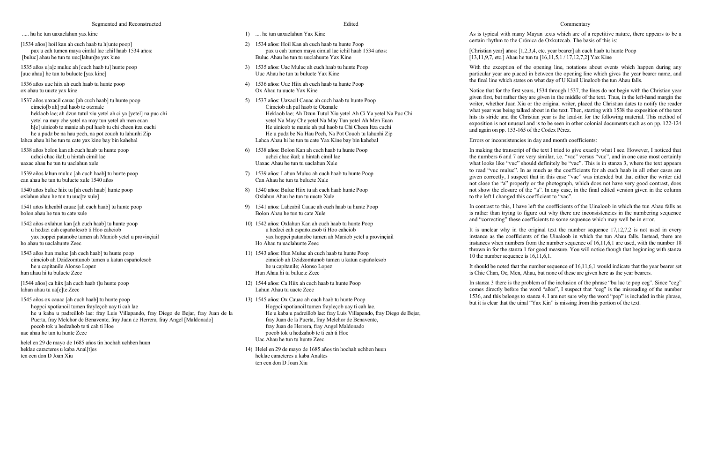..... hu he tun uaxaclahun yax kine

[1534 años] hoil kan ah cuch haab tu h[unte poop] pax u cah tumen maya cimlal lae ichil haab 1534 años: [buluc] ahau he tun tu uuc[lahun]te yax kine

1535 años u[a]c muluc ah [cuch haab tu] hunte poop [uuc ahau] he tun tu bulucte [yax kine]

1536 años uuc hiix ah cuch haab tu hunte poop ox ahau tu uucte yax kine

1537 años uaxacil cauac [ah cuch haab] tu hunte poop cimcio[b ah] pul haob te otzmale heklaob lae; ah dzun tutul xiu yetel ah ci ya [yetel] na puc chi yetel na may che yetel na may tun yetel ah men euan h[e] uinicob te manie ah pul haob tu chi cheen itza cuchi he u pudz be na hau pech, na pot couoh tu lahunhi Zip lahca ahau hi he tun tu cate yax kine bay bin kahebal

1538 años bolon kan ah cuch haab tu hunte poop uchci chac ikal; u hintah cimil lae uaxac ahau he tun tu uaclahun xule

1539 años lahun muluc [ah cuch haab] tu hunte poop can ahau he tun tu bulucte xule 1540 años

1540 años buluc hiix tu [ah cuch haab] hunte poop oxlahun ahau he tun tu uuc[te xule]

1541 años lahcabil cauac [ah cuch haab] tu hunte poop bolon ahau he tun tu cate xule

1542 años oxlahun kan [ah cuch haab] tu hunte poop u hedzci cah españolesob ti Hoo cahciob yax hoppci patanobe tumen ah Maniob yetel u provinçiail ho ahau tu uaclahunte Zeec

1543 años hun muluc [ah cuch haab] tu hunte poop cimciob ah Dzidzomtunob tumen u katun españolesob he u capitanile Alonso Lopez hun ahau hi tu bulucte Zeec

[1544 años] ca hiix [ah cuch haab t]u hunte poop lahun ahau tu ua[c]te Zeec

1545 años ox cauac [ah cuch haab] tu hunte poop hoppci xpotianoil tumen frayleçob uay ti cah lae he u kaba u padreillob lae: fray Luis Villapando, fray Diego de Bejar, fray Juan de la Puerta, fray Melchor de Benavente, fray Juan de Herrera, fray Angel [Maldonado] pocob tok u hedzahob te ti cah ti Hoe uac ahau he tun tu hunte Zeec

helel en 29 de mayo de 1685 años tin hochah uchben huun heklae caracteres u kaba Anal[t]es ten cen don D Joan Xiu

## Edited

With the exception of the opening line, notations about events which happen during any particular year are placed in between the opening line which gives the year bearer name, and the final line which states on what day of U Kinil Uinaloob the tun Ahau falls.

- 1) .... he tun uaxaclahun Yax Kine
- 2) 1534 años: Hoil Kan ah cuch haab tu hunte Poop pax u cah tumen maya cimlal lae ichil haab 1534 años: Buluc Ahau he tun tu uuclahunte Yax Kine
- 3) 1535 años: Uac Muluc ah cuch haab tu hunte Poop Uuc Ahau he tun tu bulucte Yax Kine
- 4) 1536 años: Uuc Hiix ah cuch haab tu hunte Poop Ox Ahau tu uucte Yax Kine
- 5) 1537 años: Uaxacil Cauac ah cuch haab tu hunte Poop Cimciob ah pul haob te Otzmale Heklaob lae; Ah Dzun Tutul Xiu yetel Ah Ci Ya yetel Na Puc Chi yetel Na May Che yetel Na May Tun yetel Ah Men Euan He uinicob te manie ah pul haob tu Chi Cħeen Itza cuchi He u pudz be Na Hau Pech, Na Pot Couoh tu lahunhi Zip Lahca Ahau hi he tun tu cate Yax Kine bay bin kahebal
- 6) 1538 años: Bolon Kan ah cuch haab tu hunte Poop uchci chac ikal; u hintah cimil lae Uaxac Ahau he tun tu uaclahun Xule
- 7) 1539 años: Lahun Muluc ah cuch haab tu hunte Poop Can Ahau he tun tu bulucte Xule
- 8) 1540 años: Buluc Hiix tu ah cuch haab hunte Poop Oxlahun Ahau he tun tu uucte Xule
- 9) 1541 años: Lahcabil Cauac ah cuch haab tu hunte Poop Bolon Ahau he tun tu cate Xule
- 10) 1542 años: Oxlahun Kan ah cuch haab tu hunte Poop u hedzci cah españolesob ti Hoo cahciob yax hoppci patanobe tumen ah Maniob yetel u provinçiail Ho Ahau tu uaclahunte Zeec
- 11) 1543 años: Hun Muluc ah cuch haab tu hunte Poop cimciob ah Dzidzomtunob tumen u katun españolesob he u capitanile; Alonso Lopez Hun Ahau hi tu bulucte Zeec
- 12) 1544 años: Ca Hiix ah cuch haab tu hunte Poop Lahun Ahau tu uacte Zeec

It is unclear why in the original text the number sequence  $17,12,7,2$  is not used in every instance as the coefficients of the Uinaloob in which the tun Ahau falls. Instead, there are instances when numbers from the number sequence of 16,11,6,1 are used, with the number 18 thrown in for the stanza 1 for good measure. You will notice though that beginning with stanza 10 the number sequence is 16,11,6,1.

13) 1545 años: Ox Cauac ah cuch haab tu hunte Poop Hoppci xpotianoil tumen frayleçob uay ti cah lae. He u kaba u padreillob lae: fray Luis Villapando, fray Diego de Bejar, fray Juan de la Puerta, fray Melchor de Benavente, fray Juan de Herrera, fray Angel Maldonado pocob tok u hedzahob te ti cah ti Hoe Uac Ahau he tun tu hunte Zeec

14) Helel en 29 de mayo de 1685 años tin hochah uchben huun heklae caracteres u kaba Analtes ten cen don D Joan Xiu

#### Commentary

As is typical with many Mayan texts which are of a repetitive nature, there appears to be a certain rhythm to the Crónica de Oxkutzcab. The basis of this is:

[Christian year] años: [1,2,3,4, etc. year bearer] ah cuch haab tu hunte Poop [13,11,9,7, etc.] Ahau he tun tu [16,11,5,1 / 17,12,7,2] Yax Kine

Notice that for the first years, 1534 through 1537, the lines do not begin with the Christian year given first, but rather they are given in the middle of the text. Thus, in the left-hand margin the writer, whether Juan Xiu or the original writer, placed the Christian dates to notify the reader what year was being talked about in the text. Then, starting with 1538 the exposition of the text hits its stride and the Christian year is the lead-in for the following material. This method of exposition is not unusual and is to be seen in other colonial documents such as on pp. 122-124 and again on pp. 153-165 of the Codex Pérez.

Errors or inconsistencies in day and month coefficients:

In making the transcript of the text I tried to give exactly what I see. However, I noticed that the numbers 6 and 7 are very similar, i.e. "vac" versus "vuc", and in one case most certainly what looks like "vuc" should definitely be "vac". This is in stanza 3, where the text appears to read "vuc muluc". In as much as the coefficients for ah cuch haab in all other cases are given correctly, I suspect that in this case "vac" was intended but that either the writer did not close the "a" properly or the photograph, which does not have very good contrast, does not show the closure of the "a". In any case, in the final edited version given in the column to the left I changed this coefficient to "vac".

In contrast to this, I have left the coefficients of the Uinaloob in which the tun Ahau falls as is rather than trying to figure out why there are inconsistencies in the numbering sequence and "correcting" these coefficients to some sequence which may well be in error.

It should be noted that the number sequence of 16,11,6,1 would indicate that the year bearer set is Chic Chan, Oc, Men, Ahau, but none of these are given here as the year bearers.

In stanza 3 there is the problem of the inclusion of the phrase "bu luc te pop ceg". Since "ceg" comes directly before the word "años", I suspect that "ceg" is the misreading of the number 1536, and this belongs to stanza 4. I am not sure why the word "pop" is included in this phrase, but it is clear that the uinal "Yax Kin" is missing from this portion of the text.